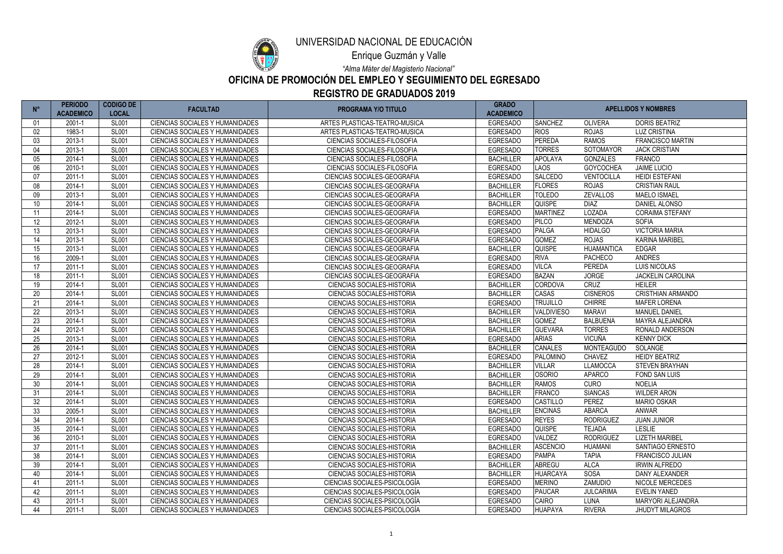| $N^{\circ}$      | <b>PERIODO</b><br><b>ACADEMICO</b> | <b>CODIGO DE</b><br><b>LOCAL</b> | <b>FACULTAD</b>                        | <b>PROGRAMA Y/O TITULO</b>         | <b>GRADO</b><br><b>ACADEMICO</b> |                   | <b>APELLIDOS Y NOMBRES</b> |                          |  |
|------------------|------------------------------------|----------------------------------|----------------------------------------|------------------------------------|----------------------------------|-------------------|----------------------------|--------------------------|--|
| 01               | 2001-1                             | <b>SL001</b>                     | <b>CIENCIAS SOCIALES Y HUMANIDADES</b> | ARTES PLASTICAS-TEATRO-MUSICA      | <b>EGRESADO</b>                  | <b>SANCHEZ</b>    | <b>OLIVERA</b>             | <b>DORIS BEATRIZ</b>     |  |
| 02               | 1983-1                             | <b>SL001</b>                     | <b>CIENCIAS SOCIALES Y HUMANIDADES</b> | ARTES PLASTICAS-TEATRO-MUSICA      | <b>EGRESADO</b>                  | <b>RIOS</b>       | <b>ROJAS</b>               | <b>LUZ CRISTINA</b>      |  |
| 03               | 2013-1                             | <b>SL001</b>                     | CIENCIAS SOCIALES Y HUMANIDADES        | <b>CIENCIAS SOCIALES-FILOSOFIA</b> | <b>EGRESADO</b>                  | <b>PEREDA</b>     | <b>RAMOS</b>               | <b>FRANCISCO MARTIN</b>  |  |
| 04               | 2013-1                             | <b>SL001</b>                     | <b>CIENCIAS SOCIALES Y HUMANIDADES</b> | <b>CIENCIAS SOCIALES-FILOSOFIA</b> | <b>EGRESADO</b>                  | <b>TORRES</b>     | SOTOMAYOR                  | <b>JACK CRISTIAN</b>     |  |
| 05               | 2014-1                             | <b>SL001</b>                     | CIENCIAS SOCIALES Y HUMANIDADES        | CIENCIAS SOCIALES-FILOSOFIA        | <b>BACHILLER</b>                 | <b>APOLAYA</b>    | <b>GONZALES</b>            | <b>FRANCO</b>            |  |
| 06               | 2010-1                             | <b>SL001</b>                     | CIENCIAS SOCIALES Y HUMANIDADES        | <b>CIENCIAS SOCIALES-FILOSOFIA</b> | <b>EGRESADO</b>                  | <b>LAOS</b>       | GOYCOCHEA                  | <b>JAIME LUCIO</b>       |  |
| 07               | 2011-1                             | <b>SL001</b>                     | <b>CIENCIAS SOCIALES Y HUMANIDADES</b> | CIENCIAS SOCIALES-GEOGRAFIA        | <b>EGRESADO</b>                  | <b>SALCEDO</b>    | <b>VENTOCILLA</b>          | <b>HEIDI ESTEFANI</b>    |  |
| 08               | 2014-1                             | <b>SL001</b>                     | <b>CIENCIAS SOCIALES Y HUMANIDADES</b> | CIENCIAS SOCIALES-GEOGRAFIA        | <b>BACHILLER</b>                 | <b>FLORES</b>     | <b>ROJAS</b>               | <b>CRISTIAN RAUL</b>     |  |
| 09               | 2013-1                             | <b>SL001</b>                     | <b>CIENCIAS SOCIALES Y HUMANIDADES</b> | CIENCIAS SOCIALES-GEOGRAFIA        | <b>BACHILLER</b>                 | <b>TOLEDO</b>     | <b>ZEVALLOS</b>            | <b>MAELO ISMAEL</b>      |  |
| 10               | 2014-1                             | <b>SL001</b>                     | <b>CIENCIAS SOCIALES Y HUMANIDADES</b> | CIENCIAS SOCIALES-GEOGRAFIA        | <b>BACHILLER</b>                 | <b>QUISPE</b>     | <b>DIAZ</b>                | DANIEL ALONSO            |  |
| 11               | 2014-1                             | <b>SL001</b>                     | <b>CIENCIAS SOCIALES Y HUMANIDADES</b> | CIENCIAS SOCIALES-GEOGRAFIA        | <b>EGRESADO</b>                  | <b>MARTINEZ</b>   | LOZADA                     | <b>CORAIMA STEFANY</b>   |  |
| 12 <sup>°</sup>  | 2012-1                             | <b>SL001</b>                     | <b>CIENCIAS SOCIALES Y HUMANIDADES</b> | CIENCIAS SOCIALES-GEOGRAFIA        | <b>EGRESADO</b>                  | <b>PILCO</b>      | <b>MENDOZA</b>             | <b>SOFIA</b>             |  |
| 13               | 2013-1                             | <b>SL001</b>                     | CIENCIAS SOCIALES Y HUMANIDADES        | CIENCIAS SOCIALES-GEOGRAFIA        | <b>EGRESADO</b>                  | PALGA             | <b>HIDALGO</b>             | <b>VICTORIA MARIA</b>    |  |
| 14               | 2013-1                             | <b>SL001</b>                     | CIENCIAS SOCIALES Y HUMANIDADES        | CIENCIAS SOCIALES-GEOGRAFIA        | <b>EGRESADO</b>                  | <b>GOMEZ</b>      | <b>ROJAS</b>               | <b>KARINA MARIBEL</b>    |  |
| 15 <sup>15</sup> | 2013-1                             | <b>SL001</b>                     | <b>CIENCIAS SOCIALES Y HUMANIDADES</b> | CIENCIAS SOCIALES-GEOGRAFIA        | <b>BACHILLER</b>                 | <b>QUISPE</b>     | <b>HUAMANTICA</b>          | <b>EDGAR</b>             |  |
| 16               | 2009-1                             | <b>SL001</b>                     | CIENCIAS SOCIALES Y HUMANIDADES        | CIENCIAS SOCIALES-GEOGRAFIA        | <b>EGRESADO</b>                  | <b>RIVA</b>       | <b>PACHECO</b>             | <b>ANDRES</b>            |  |
| 17               | 2011-1                             | <b>SL001</b>                     | <b>CIENCIAS SOCIALES Y HUMANIDADES</b> | CIENCIAS SOCIALES-GEOGRAFIA        | <b>EGRESADO</b>                  | <b>VILCA</b>      | <b>PEREDA</b>              | <b>LUIS NICOLAS</b>      |  |
| 18               | 2011-1                             | <b>SL001</b>                     | <b>CIENCIAS SOCIALES Y HUMANIDADES</b> | CIENCIAS SOCIALES-GEOGRAFIA        | <b>EGRESADO</b>                  | <b>BAZAN</b>      | <b>JORGE</b>               | <b>JACKELIN CAROLINA</b> |  |
| 19               | 2014-1                             | <b>SL001</b>                     | CIENCIAS SOCIALES Y HUMANIDADES        | <b>CIENCIAS SOCIALES-HISTORIA</b>  | <b>BACHILLER</b>                 | <b>CORDOVA</b>    | <b>CRUZ</b>                | <b>HEILER</b>            |  |
| 20               | 2014-1                             | <b>SL001</b>                     | CIENCIAS SOCIALES Y HUMANIDADES        | <b>CIENCIAS SOCIALES-HISTORIA</b>  | <b>BACHILLER</b>                 | <b>CASAS</b>      | <b>CISNEROS</b>            | <b>CRISTHIAN ARMANDO</b> |  |
| 21               | 2014-1                             | <b>SL001</b>                     | CIENCIAS SOCIALES Y HUMANIDADES        | <b>CIENCIAS SOCIALES-HISTORIA</b>  | <b>EGRESADO</b>                  | <b>TRUJILLO</b>   | <b>CHIRRE</b>              | <b>MAFER LORENA</b>      |  |
| 22               | 2013-1                             | <b>SL001</b>                     | CIENCIAS SOCIALES Y HUMANIDADES        | <b>CIENCIAS SOCIALES-HISTORIA</b>  | <b>BACHILLER</b>                 | <b>VALDIVIESO</b> | <b>MARAVI</b>              | <b>MANUEL DANIEL</b>     |  |
| 23               | 2014-1                             | <b>SL001</b>                     | <b>CIENCIAS SOCIALES Y HUMANIDADES</b> | <b>CIENCIAS SOCIALES-HISTORIA</b>  | <b>BACHILLER</b>                 | <b>GOMEZ</b>      | <b>BALBUENA</b>            | MAYRA ALEJANDRA          |  |
| 24               | 2012-1                             | <b>SL001</b>                     | <b>CIENCIAS SOCIALES Y HUMANIDADES</b> | <b>CIENCIAS SOCIALES-HISTORIA</b>  | <b>BACHILLER</b>                 | <b>GUEVARA</b>    | <b>TORRES</b>              | RONALD ANDERSON          |  |
| 25               | 2013-1                             | <b>SL001</b>                     | CIENCIAS SOCIALES Y HUMANIDADES        | CIENCIAS SOCIALES-HISTORIA         | <b>EGRESADO</b>                  | <b>ARIAS</b>      | <b>VICUÑA</b>              | <b>KENNY DICK</b>        |  |
| 26               | 2014-1                             | <b>SL001</b>                     | CIENCIAS SOCIALES Y HUMANIDADES        | <b>CIENCIAS SOCIALES-HISTORIA</b>  | <b>BACHILLER</b>                 | <b>CANALES</b>    | <b>MONTEAGUDO</b>          | SOLANGE                  |  |
| 27               | 2012-1                             | <b>SL001</b>                     | <b>CIENCIAS SOCIALES Y HUMANIDADES</b> | <b>CIENCIAS SOCIALES-HISTORIA</b>  | <b>EGRESADO</b>                  | <b>PALOMINO</b>   | <b>CHAVEZ</b>              | <b>HEIDY BEATRIZ</b>     |  |
| 28               | 2014-1                             | <b>SL001</b>                     | CIENCIAS SOCIALES Y HUMANIDADES        | <b>CIENCIAS SOCIALES-HISTORIA</b>  | <b>BACHILLER</b>                 | <b>VILLAR</b>     | <b>LLAMOCCA</b>            | <b>STEVEN BRAYHAN</b>    |  |
| 29               | 2014-1                             | <b>SL001</b>                     | CIENCIAS SOCIALES Y HUMANIDADES        | CIENCIAS SOCIALES-HISTORIA         | <b>BACHILLER</b>                 | <b>OSORIO</b>     | <b>APARCO</b>              | FOND SAN LUIS            |  |
| 30               | 2014-1                             | <b>SL001</b>                     | CIENCIAS SOCIALES Y HUMANIDADES        | <b>CIENCIAS SOCIALES-HISTORIA</b>  | <b>BACHILLER</b>                 | <b>RAMOS</b>      | <b>CURO</b>                | <b>NOELIA</b>            |  |
| 31               | 2014-1                             | <b>SL001</b>                     | <b>CIENCIAS SOCIALES Y HUMANIDADES</b> | <b>CIENCIAS SOCIALES-HISTORIA</b>  | <b>BACHILLER</b>                 | FRANCO            | <b>SIANCAS</b>             | <b>WILDER ARON</b>       |  |
| 32               | 2014-1                             | <b>SL001</b>                     | CIENCIAS SOCIALES Y HUMANIDADES        | <b>CIENCIAS SOCIALES-HISTORIA</b>  | <b>EGRESADO</b>                  | <b>CASTILLO</b>   | <b>PEREZ</b>               | <b>MARIO OSKAR</b>       |  |
| 33               | 2005-1                             | <b>SL001</b>                     | CIENCIAS SOCIALES Y HUMANIDADES        | <b>CIENCIAS SOCIALES-HISTORIA</b>  | <b>BACHILLER</b>                 | <b>ENCINAS</b>    | <b>ABARCA</b>              | ANWAR                    |  |
| 34               | 2014-1                             | <b>SL001</b>                     | CIENCIAS SOCIALES Y HUMANIDADES        | <b>CIENCIAS SOCIALES-HISTORIA</b>  | <b>EGRESADO</b>                  | <b>REYES</b>      | <b>RODRIGUEZ</b>           | <b>JUAN JUNIOR</b>       |  |
| 35               | 2014-1                             | <b>SL001</b>                     | CIENCIAS SOCIALES Y HUMANIDADES        | <b>CIENCIAS SOCIALES-HISTORIA</b>  | <b>EGRESADO</b>                  | <b>QUISPE</b>     | <b>TEJADA</b>              | <b>LESLIE</b>            |  |
| 36               | 2010-1                             | <b>SL001</b>                     | CIENCIAS SOCIALES Y HUMANIDADES        | <b>CIENCIAS SOCIALES-HISTORIA</b>  | <b>EGRESADO</b>                  | <b>VALDEZ</b>     | <b>RODRIGUEZ</b>           | <b>LIZETH MARIBEL</b>    |  |
| 37               | 2011-1                             | <b>SL001</b>                     | CIENCIAS SOCIALES Y HUMANIDADES        | <b>CIENCIAS SOCIALES-HISTORIA</b>  | <b>BACHILLER</b>                 | <b>ASCENCIO</b>   | <b>HUAMANI</b>             | SANTIAGO ERNESTO         |  |
| 38               | 2014-1                             | <b>SL001</b>                     | CIENCIAS SOCIALES Y HUMANIDADES        | <b>CIENCIAS SOCIALES-HISTORIA</b>  | <b>EGRESADO</b>                  | <b>PAMPA</b>      | <b>TAPIA</b>               | FRANCISCO JULIAN         |  |
| 39               | 2014-1                             | <b>SL001</b>                     | CIENCIAS SOCIALES Y HUMANIDADES        | <b>CIENCIAS SOCIALES-HISTORIA</b>  | <b>BACHILLER</b>                 | <b>ABREGU</b>     | <b>ALCA</b>                | <b>IRWIN ALFREDO</b>     |  |
| 40               | 2014-1                             | <b>SL001</b>                     | CIENCIAS SOCIALES Y HUMANIDADES        | <b>CIENCIAS SOCIALES-HISTORIA</b>  | <b>BACHILLER</b>                 | <b>HUARCAYA</b>   | SOSA                       | DANY ALEXANDER           |  |
| 41               | 2011-1                             | <b>SL001</b>                     | CIENCIAS SOCIALES Y HUMANIDADES        | CIENCIAS SOCIALES-PSICOLOGÍA       | <b>EGRESADO</b>                  | <b>MERINO</b>     | ZAMUDIO                    | <b>NICOLE MERCEDES</b>   |  |
| 42               | 2011-1                             | <b>SL001</b>                     | CIENCIAS SOCIALES Y HUMANIDADES        | CIENCIAS SOCIALES-PSICOLOGÍA       | <b>EGRESADO</b>                  | PAUCAR            | <b>JULCARIMA</b>           | <b>EVELIN YANED</b>      |  |
| 43               | 2011-1                             | <b>SL001</b>                     | CIENCIAS SOCIALES Y HUMANIDADES        | CIENCIAS SOCIALES-PSICOLOGÍA       | <b>EGRESADO</b>                  | <b>CAIRO</b>      | <b>LUNA</b>                | MARYORI ALEJANDRA        |  |
| 44               | 2011-1                             | <b>SL001</b>                     | CIENCIAS SOCIALES Y HUMANIDADES        | CIENCIAS SOCIALES-PSICOLOGÍA       | <b>EGRESADO</b>                  | HUAPAYA           | <b>RIVERA</b>              | <b>JHUDYT MILAGROS</b>   |  |



Enrique Guzmán y Valle

*"Alma Máter del Magisterio Nacional"*

## **OFICINA DE PROMOCIÓN DEL EMPLEO Y SEGUIMIENTO DEL EGRESADO**

| <b>REGISTRO DE GRADUADOS 2019</b> |  |
|-----------------------------------|--|
|-----------------------------------|--|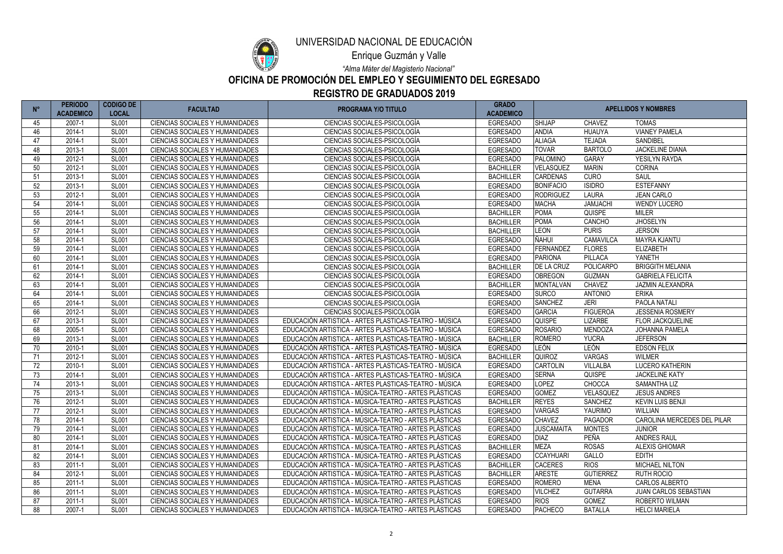

Enrique Guzmán y Valle

*"Alma Máter del Magisterio Nacional"*

# **OFICINA DE PROMOCIÓN DEL EMPLEO Y SEGUIMIENTO DEL EGRESADO**

| $N^{\circ}$ | <b>PERIODO</b><br><b>ACADEMICO</b> | <b>CODIGO DE</b><br><b>LOCAL</b> | <b>FACULTAD</b>                        | <b>PROGRAMA Y/O TITULO</b>                            | <b>GRADO</b><br><b>ACADEMICO</b> |                   | <b>APELLIDOS Y NOMBRES</b> |                              |
|-------------|------------------------------------|----------------------------------|----------------------------------------|-------------------------------------------------------|----------------------------------|-------------------|----------------------------|------------------------------|
| 45          | 2007-1                             | <b>SL001</b>                     | CIENCIAS SOCIALES Y HUMANIDADES        | CIENCIAS SOCIALES-PSICOLOGÍA                          | <b>EGRESADO</b>                  | <b>SHIJAP</b>     | <b>CHAVEZ</b>              | <b>TOMAS</b>                 |
| 46          | 2014-1                             | <b>SL001</b>                     | CIENCIAS SOCIALES Y HUMANIDADES        | CIENCIAS SOCIALES-PSICOLOGÍA                          | <b>EGRESADO</b>                  | <b>ANDIA</b>      | <b>HUAUYA</b>              | <b>VIANEY PAMELA</b>         |
| 47          | 2014-1                             | <b>SL001</b>                     | CIENCIAS SOCIALES Y HUMANIDADES        | CIENCIAS SOCIALES-PSICOLOGÍA                          | <b>EGRESADO</b>                  | <b>ALIAGA</b>     | <b>TEJADA</b>              | SANDIBEL                     |
| 48          | 2013-1                             | <b>SL001</b>                     | CIENCIAS SOCIALES Y HUMANIDADES        | CIENCIAS SOCIALES-PSICOLOGÍA                          | <b>EGRESADO</b>                  | <b>TOVAR</b>      | <b>BARTOLO</b>             | <b>JACKELINE DIANA</b>       |
| 49          | 2012-1                             | <b>SL001</b>                     | CIENCIAS SOCIALES Y HUMANIDADES        | CIENCIAS SOCIALES-PSICOLOGÍA                          | <b>EGRESADO</b>                  | <b>PALOMINO</b>   | <b>GARAY</b>               | YESILYN RAYDA                |
| 50          | 2012-1                             | <b>SL001</b>                     | CIENCIAS SOCIALES Y HUMANIDADES        | CIENCIAS SOCIALES-PSICOLOGÍA                          | <b>BACHILLER</b>                 | VELASQUEZ         | <b>MARIN</b>               | <b>CORINA</b>                |
| 51          | 2013-1                             | <b>SL001</b>                     | CIENCIAS SOCIALES Y HUMANIDADES        | CIENCIAS SOCIALES-PSICOLOGÍA                          | <b>BACHILLER</b>                 | <b>CARDENAS</b>   | <b>CURO</b>                | <b>SAUL</b>                  |
| 52          | 2013-1                             | <b>SL001</b>                     | <b>CIENCIAS SOCIALES Y HUMANIDADES</b> | CIENCIAS SOCIALES-PSICOLOGÍA                          | <b>EGRESADO</b>                  | <b>BONIFACIO</b>  | <b>ISIDRO</b>              | <b>ESTEFANNY</b>             |
| 53          | 2012-1                             | <b>SL001</b>                     | CIENCIAS SOCIALES Y HUMANIDADES        | CIENCIAS SOCIALES-PSICOLOGÍA                          | <b>EGRESADO</b>                  | <b>RODRIGUEZ</b>  | <b>LAURA</b>               | <b>JEAN CARLO</b>            |
| 54          | 2014-1                             | <b>SL001</b>                     | CIENCIAS SOCIALES Y HUMANIDADES        | CIENCIAS SOCIALES-PSICOLOGÍA                          | <b>EGRESADO</b>                  | <b>MACHA</b>      | <b>JAMJACHI</b>            | <b>WENDY LUCERO</b>          |
| 55          | 2014-1                             | <b>SL001</b>                     | CIENCIAS SOCIALES Y HUMANIDADES        | CIENCIAS SOCIALES-PSICOLOGÍA                          | <b>BACHILLER</b>                 | <b>POMA</b>       | <b>QUISPE</b>              | <b>MILER</b>                 |
| 56          | 2014-1                             | <b>SL001</b>                     | CIENCIAS SOCIALES Y HUMANIDADES        | CIENCIAS SOCIALES-PSICOLOGÍA                          | <b>BACHILLER</b>                 | <b>POMA</b>       | CANCHO                     | <b>JHOSELYN</b>              |
| 57          | 2014-1                             | <b>SL001</b>                     | <b>CIENCIAS SOCIALES Y HUMANIDADES</b> | CIENCIAS SOCIALES-PSICOLOGÍA                          | <b>BACHILLER</b>                 | <b>LEON</b>       | <b>PURIS</b>               | <b>JERSON</b>                |
| 58          | 2014-1                             | <b>SL001</b>                     | CIENCIAS SOCIALES Y HUMANIDADES        | CIENCIAS SOCIALES-PSICOLOGÍA                          | <b>EGRESADO</b>                  | ÑAHUI             | CAMAVILCA                  | <b>MAYRA KJANTU</b>          |
| 59          | 2014-1                             | <b>SL001</b>                     | CIENCIAS SOCIALES Y HUMANIDADES        | CIENCIAS SOCIALES-PSICOLOGÍA                          | <b>EGRESADO</b>                  | FERNANDEZ         | <b>FLORES</b>              | <b>ELIZABETH</b>             |
| 60          | 2014-1                             | <b>SL001</b>                     | CIENCIAS SOCIALES Y HUMANIDADES        | CIENCIAS SOCIALES-PSICOLOGÍA                          | <b>EGRESADO</b>                  | <b>PARIONA</b>    | PILLACA                    | YANETH                       |
| 61          | 2014-1                             | <b>SL001</b>                     | CIENCIAS SOCIALES Y HUMANIDADES        | CIENCIAS SOCIALES-PSICOLOGÍA                          | <b>BACHILLER</b>                 | <b>DE LA CRUZ</b> | POLICARPO                  | <b>BRIGGITH MELANIA</b>      |
| 62          | 2014-1                             | <b>SL001</b>                     | CIENCIAS SOCIALES Y HUMANIDADES        | CIENCIAS SOCIALES-PSICOLOGÍA                          | <b>EGRESADO</b>                  | <b>OBREGON</b>    | <b>GUZMAN</b>              | <b>GABRIELA FELICITA</b>     |
| 63          | 2014-1                             | <b>SL001</b>                     | CIENCIAS SOCIALES Y HUMANIDADES        | CIENCIAS SOCIALES-PSICOLOGÍA                          | <b>BACHILLER</b>                 | <b>MONTALVAN</b>  | <b>CHAVEZ</b>              | <b>JAZMIN ALEXANDRA</b>      |
| 64          | 2014-1                             | <b>SL001</b>                     | CIENCIAS SOCIALES Y HUMANIDADES        | CIENCIAS SOCIALES-PSICOLOGÍA                          | <b>EGRESADO</b>                  | <b>SURCO</b>      | <b>ANTONIO</b>             | <b>ERIKA</b>                 |
| 65          | 2014-1                             | <b>SL001</b>                     | CIENCIAS SOCIALES Y HUMANIDADES        | CIENCIAS SOCIALES-PSICOLOGÍA                          | <b>EGRESADO</b>                  | <b>SANCHEZ</b>    | <b>JERI</b>                | PAOLA NATALI                 |
| 66          | 2012-1                             | <b>SL001</b>                     | CIENCIAS SOCIALES Y HUMANIDADES        | CIENCIAS SOCIALES-PSICOLOGÍA                          | <b>EGRESADO</b>                  | <b>GARCIA</b>     | <b>FIGUEROA</b>            | <b>JESSENIA ROSMERY</b>      |
| 67          | 2013-1                             | <b>SL001</b>                     | CIENCIAS SOCIALES Y HUMANIDADES        | EDUCACIÓN ARTISTICA - ARTES PLASTICAS-TEATRO - MÚSICA | <b>EGRESADO</b>                  | <b>QUISPE</b>     | <b>LIZARBE</b>             | <b>FLOR JACKQUELINE</b>      |
| 68          | 2005-1                             | <b>SL001</b>                     | <b>CIENCIAS SOCIALES Y HUMANIDADES</b> | EDUCACIÓN ARTISTICA - ARTES PLASTICAS-TEATRO - MÚSICA | <b>EGRESADO</b>                  | <b>ROSARIO</b>    | <b>MENDOZA</b>             | JOHANNA PAMELA               |
| 69          | 2013-1                             | <b>SL001</b>                     | CIENCIAS SOCIALES Y HUMANIDADES        | EDUCACIÓN ARTISTICA - ARTES PLASTICAS-TEATRO - MÚSICA | <b>BACHILLER</b>                 | <b>ROMERO</b>     | <b>YUCRA</b>               | <b>JEFERSON</b>              |
| 70          | 2010-1                             | <b>SL001</b>                     | CIENCIAS SOCIALES Y HUMANIDADES        | EDUCACIÓN ARTISTICA - ARTES PLASTICAS-TEATRO - MÚSICA | <b>EGRESADO</b>                  | LEÓN              | LEÓN                       | <b>EDSON FELIX</b>           |
| 71          | 2012-1                             | <b>SL001</b>                     | CIENCIAS SOCIALES Y HUMANIDADES        | EDUCACIÓN ARTISTICA - ARTES PLASTICAS-TEATRO - MÚSICA | <b>BACHILLER</b>                 | <b>QUIROZ</b>     | <b>VARGAS</b>              | <b>WILMER</b>                |
| 72          | 2010-1                             | <b>SL001</b>                     | CIENCIAS SOCIALES Y HUMANIDADES        | EDUCACIÓN ARTISTICA - ARTES PLASTICAS-TEATRO - MÚSICA | <b>EGRESADO</b>                  | <b>CARTOLIN</b>   | <b>VILLALBA</b>            | <b>LUCERO KATHERIN</b>       |
| 73          | 2014-1                             | <b>SL001</b>                     | <b>CIENCIAS SOCIALES Y HUMANIDADES</b> | EDUCACIÓN ARTISTICA - ARTES PLASTICAS-TEATRO - MÚSICA | <b>EGRESADO</b>                  | <b>SERNA</b>      | QUISPE                     | <b>JACKELINE KATY</b>        |
| 74          | 2013-1                             | <b>SL001</b>                     | <b>CIENCIAS SOCIALES Y HUMANIDADES</b> | EDUCACIÓN ARTISTICA - ARTES PLASTICAS-TEATRO - MÚSICA | <b>EGRESADO</b>                  | <b>LOPEZ</b>      | CHOCCA                     | <b>SAMANTHA LIZ</b>          |
| 75          | 2013-1                             | <b>SL001</b>                     | CIENCIAS SOCIALES Y HUMANIDADES        | EDUCACIÓN ARTISTICA - MÚSICA-TEATRO - ARTES PLÁSTICAS | <b>EGRESADO</b>                  | <b>GOMEZ</b>      | VELASQUEZ                  | <b>JESUS ANDRES</b>          |
| 76          | 2012-1                             | <b>SL001</b>                     | CIENCIAS SOCIALES Y HUMANIDADES        | EDUCACIÓN ARTISTICA - MÚSICA-TEATRO - ARTES PLÁSTICAS | <b>BACHILLER</b>                 | <b>REYES</b>      | <b>SANCHEZ</b>             | <b>KEVIN LUIS BENJI</b>      |
| 77          | 2012-1                             | <b>SL001</b>                     | CIENCIAS SOCIALES Y HUMANIDADES        | EDUCACIÓN ARTISTICA - MÚSICA-TEATRO - ARTES PLÁSTICAS | <b>EGRESADO</b>                  | <b>VARGAS</b>     | YAURIMO                    | <b>WILLIAN</b>               |
| 78          | 2014-1                             | <b>SL001</b>                     | CIENCIAS SOCIALES Y HUMANIDADES        | EDUCACIÓN ARTISTICA - MÚSICA-TEATRO - ARTES PLÁSTICAS | <b>EGRESADO</b>                  | <b>CHAVEZ</b>     | <b>PAGADOR</b>             | CAROLINA MERCEDES DEL PILAR  |
| 79          | 2014-1                             | <b>SL001</b>                     | CIENCIAS SOCIALES Y HUMANIDADES        | EDUCACIÓN ARTISTICA - MÚSICA-TEATRO - ARTES PLÁSTICAS | <b>EGRESADO</b>                  | <b>JUSCAMAITA</b> | <b>MONTES</b>              | <b>JUNIOR</b>                |
| 80          | 2014-1                             | <b>SL001</b>                     | <b>CIENCIAS SOCIALES Y HUMANIDADES</b> | EDUCACIÓN ARTISTICA - MÚSICA-TEATRO - ARTES PLÁSTICAS | <b>EGRESADO</b>                  | <b>DIAZ</b>       | PEÑA                       | <b>ANDRES RAUL</b>           |
| 81          | 2014-1                             | <b>SL001</b>                     | CIENCIAS SOCIALES Y HUMANIDADES        | EDUCACIÓN ARTISTICA - MÚSICA-TEATRO - ARTES PLÁSTICAS | <b>BACHILLER</b>                 | <b>MEZA</b>       | <b>ROSAS</b>               | <b>ALEXIS GHIOMAR</b>        |
| 82          | 2014-1                             | <b>SL001</b>                     | <b>CIENCIAS SOCIALES Y HUMANIDADES</b> | EDUCACIÓN ARTISTICA - MÚSICA-TEATRO - ARTES PLÁSTICAS | <b>EGRESADO</b>                  | <b>CCAYHUARI</b>  | GALLO                      | <b>EDITH</b>                 |
| 83          | 2011-1                             | <b>SL001</b>                     | CIENCIAS SOCIALES Y HUMANIDADES        | EDUCACIÓN ARTISTICA - MÚSICA-TEATRO - ARTES PLÁSTICAS | <b>BACHILLER</b>                 | <b>CACERES</b>    | <b>RIOS</b>                | <b>MICHAEL NILTON</b>        |
| 84          | 2012-1                             | <b>SL001</b>                     | <b>CIENCIAS SOCIALES Y HUMANIDADES</b> | EDUCACIÓN ARTISTICA - MÚSICA-TEATRO - ARTES PLÁSTICAS | <b>BACHILLER</b>                 | <b>ARESTE</b>     | <b>GUTIERREZ</b>           | RUTH ROCIO                   |
| 85          | 2011-1                             | <b>SL001</b>                     | CIENCIAS SOCIALES Y HUMANIDADES        | EDUCACIÓN ARTISTICA - MÚSICA-TEATRO - ARTES PLÁSTICAS | <b>EGRESADO</b>                  | <b>ROMERO</b>     | <b>MENA</b>                | CARLOS ALBERTO               |
| 86          | 2011-1                             | <b>SL001</b>                     | CIENCIAS SOCIALES Y HUMANIDADES        | EDUCACIÓN ARTISTICA - MÚSICA-TEATRO - ARTES PLÁSTICAS | <b>EGRESADO</b>                  | <b>VILCHEZ</b>    | <b>GUTARRA</b>             | <b>JUAN CARLOS SEBASTIAN</b> |
| 87          | 2011-1                             | <b>SL001</b>                     | CIENCIAS SOCIALES Y HUMANIDADES        | EDUCACIÓN ARTISTICA - MÚSICA-TEATRO - ARTES PLÁSTICAS | <b>EGRESADO</b>                  | <b>RIOS</b>       | <b>GOMEZ</b>               | ROBERTO WILMAN               |
| 88          | 2007-1                             | <b>SL001</b>                     | CIENCIAS SOCIALES Y HUMANIDADES        | EDUCACIÓN ARTISTICA - MÚSICA-TEATRO - ARTES PLÁSTICAS | <b>EGRESADO</b>                  | <b>PACHECO</b>    | <b>BATALLA</b>             | <b>HELCI MARIELA</b>         |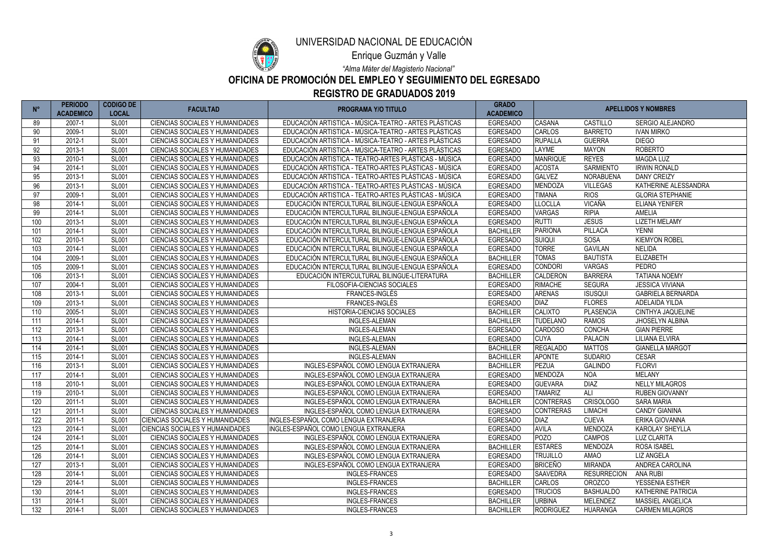

Enrique Guzmán y Valle

*"Alma Máter del Magisterio Nacional"*

## **OFICINA DE PROMOCIÓN DEL EMPLEO Y SEGUIMIENTO DEL EGRESADO**

**REGISTRO DE GRADUADOS 2019**

| $N^{\circ}$ | <b>PERIODO</b><br><b>ACADEMICO</b> | <b>CODIGO DE</b><br><b>LOCAL</b> | <b>FACULTAD</b>                        | <b>PROGRAMA Y/O TITULO</b>                            | <b>GRADO</b><br><b>ACADEMICO</b> | <b>APELLIDOS Y NOMBRES</b> |                    |                           |
|-------------|------------------------------------|----------------------------------|----------------------------------------|-------------------------------------------------------|----------------------------------|----------------------------|--------------------|---------------------------|
| 89          | 2007-1                             | <b>SL001</b>                     | CIENCIAS SOCIALES Y HUMANIDADES        | EDUCACIÓN ARTISTICA - MÚSICA-TEATRO - ARTES PLÁSTICAS | <b>EGRESADO</b>                  | <b>CASANA</b>              | CASTILLO           | SERGIO ALEJANDRO          |
| 90          | 2009-1                             | <b>SL001</b>                     | CIENCIAS SOCIALES Y HUMANIDADES        | EDUCACIÓN ARTISTICA - MÚSICA-TEATRO - ARTES PLÁSTICAS | <b>EGRESADO</b>                  | <b>CARLOS</b>              | <b>BARRETO</b>     | <b>IVAN MIRKO</b>         |
| 91          | 2012-1                             | <b>SL001</b>                     | <b>CIENCIAS SOCIALES Y HUMANIDADES</b> | EDUCACIÓN ARTISTICA - MÚSICA-TEATRO - ARTES PLÁSTICAS | <b>EGRESADO</b>                  | <b>RUPALLA</b>             | <b>GUERRA</b>      | <b>DIEGO</b>              |
| 92          | 2013-1                             | <b>SL001</b>                     | CIENCIAS SOCIALES Y HUMANIDADES        | EDUCACIÓN ARTISTICA - MÚSICA-TEATRO - ARTES PLÁSTICAS | <b>EGRESADO</b>                  | <b>LAYME</b>               | <b>MAYON</b>       | <b>ROBERTO</b>            |
| 93          | 2010-1                             | <b>SL001</b>                     | CIENCIAS SOCIALES Y HUMANIDADES        | EDUCACIÓN ARTISTICA - TEATRO-ARTES PLÁSTICAS - MÚSICA | <b>EGRESADO</b>                  | <b>MANRIQUE</b>            | <b>REYES</b>       | <b>MAGDA LUZ</b>          |
| 94          | 2014-1                             | <b>SL001</b>                     | <b>CIENCIAS SOCIALES Y HUMANIDADES</b> | EDUCACIÓN ARTISTICA - TEATRO-ARTES PLÁSTICAS - MÚSICA | <b>EGRESADO</b>                  | <b>ACOSTA</b>              | <b>SARMIENTO</b>   | <b>IRWIN RONALD</b>       |
| 95          | 2013-1                             | <b>SL001</b>                     | <b>CIENCIAS SOCIALES Y HUMANIDADES</b> | EDUCACIÓN ARTISTICA - TEATRO-ARTES PLÁSTICAS - MÚSICA | <b>EGRESADO</b>                  | <b>GALVEZ</b>              | <b>NORABUENA</b>   | <b>DANY CREIZY</b>        |
| 96          | 2013-1                             | <b>SL001</b>                     | <b>CIENCIAS SOCIALES Y HUMANIDADES</b> | EDUCACIÓN ARTISTICA - TEATRO-ARTES PLÁSTICAS - MÚSICA | <b>EGRESADO</b>                  | <b>MENDOZA</b>             | <b>VILLEGAS</b>    | KATHERINE ALESSANDRA      |
| 97          | 2009-1                             | <b>SL001</b>                     | <b>CIENCIAS SOCIALES Y HUMANIDADES</b> | EDUCACIÓN ARTISTICA - TEATRO-ARTES PLÁSTICAS - MÚSICA | <b>EGRESADO</b>                  | <b>TIMANA</b>              | <b>RIOS</b>        | <b>GLORIA STEPHANIE</b>   |
| 98          | 2014-1                             | <b>SL001</b>                     | CIENCIAS SOCIALES Y HUMANIDADES        | EDUCACIÓN INTERCULTURAL BILINGUE-LENGUA ESPAÑOLA      | <b>EGRESADO</b>                  | <b>LLOCLLA</b>             | <b>VICAÑA</b>      | <b>ELIANA YENIFER</b>     |
| 99          | 2014-1                             | <b>SL001</b>                     | CIENCIAS SOCIALES Y HUMANIDADES        | EDUCACIÓN INTERCULTURAL BILINGUE-LENGUA ESPAÑOLA      | <b>EGRESADO</b>                  | <b>VARGAS</b>              | <b>RIPIA</b>       | <b>AMELIA</b>             |
| 100         | 2013-1                             | <b>SL001</b>                     | CIENCIAS SOCIALES Y HUMANIDADES        | EDUCACIÓN INTERCULTURAL BILINGUE-LENGUA ESPAÑOLA      | <b>EGRESADO</b>                  | <b>RUTTI</b>               | <b>JESUS</b>       | <b>LIZETH MELAMY</b>      |
| 101         | 2014-1                             | <b>SL001</b>                     | <b>CIENCIAS SOCIALES Y HUMANIDADES</b> | EDUCACIÓN INTERCULTURAL BILINGUE-LENGUA ESPAÑOLA      | <b>BACHILLER</b>                 | <b>PARIONA</b>             | <b>PILLACA</b>     | <b>YENNI</b>              |
| 102         | 2010-1                             | <b>SL001</b>                     | <b>CIENCIAS SOCIALES Y HUMANIDADES</b> | EDUCACIÓN INTERCULTURAL BILINGUE-LENGUA ESPAÑOLA      | <b>EGRESADO</b>                  | SUIQUI                     | SOSA               | <b>KIEMYON ROBEL</b>      |
| 103         | 2014-1                             | <b>SL001</b>                     | <b>CIENCIAS SOCIALES Y HUMANIDADES</b> | EDUCACIÓN INTERCULTURAL BILINGUE-LENGUA ESPAÑOLA      | <b>EGRESADO</b>                  | <b>TORRE</b>               | <b>GAVILAN</b>     | <b>NELIDA</b>             |
| 104         | 2009-1                             | <b>SL001</b>                     | <b>CIENCIAS SOCIALES Y HUMANIDADES</b> | EDUCACIÓN INTERCULTURAL BILINGUE-LENGUA ESPAÑOLA      | <b>BACHILLER</b>                 | <b>TOMAS</b>               | <b>BAUTISTA</b>    | <b>ELIZABETH</b>          |
| 105         | 2009-1                             | <b>SL001</b>                     | <b>CIENCIAS SOCIALES Y HUMANIDADES</b> | EDUCACIÓN INTERCULTURAL BILINGUE-LENGUA ESPAÑOLA      | <b>EGRESADO</b>                  | <b>CONDORI</b>             | <b>VARGAS</b>      | <b>PEDRO</b>              |
| 106         | 2013-1                             | <b>SL001</b>                     | <b>CIENCIAS SOCIALES Y HUMANIDADES</b> | EDUCACIÓN INTERCULTURAL BILINGUE-LITERATURA           | <b>BACHILLER</b>                 | CALDERON                   | <b>BARRERA</b>     | <b>TATIANA NOEMY</b>      |
| 107         | 2004-1                             | <b>SL001</b>                     | CIENCIAS SOCIALES Y HUMANIDADES        | FILOSOFIA-CIENCIAS SOCIALES                           | <b>EGRESADO</b>                  | <b>RIMACHE</b>             | <b>SEGURA</b>      | <b>JESSICA VIVIANA</b>    |
| 108         | 2013-1                             | <b>SL001</b>                     | CIENCIAS SOCIALES Y HUMANIDADES        | FRANCES-INGLÉS                                        | <b>EGRESADO</b>                  | <b>ARENAS</b>              | <b>ISUSQUI</b>     | <b>GABRIELA BERNARDA</b>  |
| 109         | 2013-1                             | <b>SL001</b>                     | <b>CIENCIAS SOCIALES Y HUMANIDADES</b> | FRANCES-INGLÉS                                        | <b>EGRESADO</b>                  | <b>DIAZ</b>                | <b>FLORES</b>      | ADELAIDA YILDA            |
| 110         | 2005-1                             | <b>SL001</b>                     | <b>CIENCIAS SOCIALES Y HUMANIDADES</b> | HISTORIA-CIENCIAS SOCIALES                            | <b>BACHILLER</b>                 | <b>CALIXTO</b>             | <b>PLASENCIA</b>   | CINTHYA JAQUELINE         |
| 111         | 2014-1                             | <b>SL001</b>                     | <b>CIENCIAS SOCIALES Y HUMANIDADES</b> | <b>INGLES-ALEMAN</b>                                  | <b>BACHILLER</b>                 | <b>TUDELANO</b>            | <b>RAMOS</b>       | JHOSELYN ALBINA           |
| 112         | 2013-1                             | <b>SL001</b>                     | <b>CIENCIAS SOCIALES Y HUMANIDADES</b> | <b>INGLES-ALEMAN</b>                                  | <b>EGRESADO</b>                  | <b>CARDOSO</b>             | <b>CONCHA</b>      | <b>GIAN PIERRE</b>        |
| 113         | 2014-1                             | <b>SL001</b>                     | CIENCIAS SOCIALES Y HUMANIDADES        | INGLES-ALEMAN                                         | <b>EGRESADO</b>                  | <b>CUYA</b>                | <b>PALACIN</b>     | <b>LILIANA ELVIRA</b>     |
| 114         | 2014-1                             | <b>SL001</b>                     | <b>CIENCIAS SOCIALES Y HUMANIDADES</b> | INGLES-ALEMAN                                         | <b>BACHILLER</b>                 | <b>REGALADO</b>            | <b>MATTOS</b>      | <b>GIANELLA MARGOT</b>    |
| 115         | 2014-1                             | <b>SL001</b>                     | CIENCIAS SOCIALES Y HUMANIDADES        | INGLES-ALEMAN                                         | <b>BACHILLER</b>                 | <b>APONTE</b>              | <b>SUDARIO</b>     | <b>CESAR</b>              |
| 116         | 2013-1                             | <b>SL001</b>                     | <b>CIENCIAS SOCIALES Y HUMANIDADES</b> | INGLES-ESPAÑOL COMO LENGUA EXTRANJERA                 | <b>BACHILLER</b>                 | <b>PEZUA</b>               | <b>GALINDO</b>     | <b>FLORVI</b>             |
| 117         | 2014-1                             | <b>SL001</b>                     | <b>CIENCIAS SOCIALES Y HUMANIDADES</b> | INGLES-ESPAÑOL COMO LENGUA EXTRANJERA                 | <b>EGRESADO</b>                  | <b>MENDOZA</b>             | <b>NOA</b>         | <b>MELANY</b>             |
| 118         | 2010-1                             | <b>SL001</b>                     | CIENCIAS SOCIALES Y HUMANIDADES        | INGLES-ESPAÑOL COMO LENGUA EXTRANJERA                 | <b>EGRESADO</b>                  | <b>GUEVARA</b>             | <b>DIAZ</b>        | <b>NELLY MILAGROS</b>     |
| 119         | 2010-1                             | <b>SL001</b>                     | CIENCIAS SOCIALES Y HUMANIDADES        | INGLES-ESPAÑOL COMO LENGUA EXTRANJERA                 | <b>EGRESADO</b>                  | <b>TAMARIZ</b>             | ALI                | <b>RUBEN GIOVANNY</b>     |
| 120         | 2011-1                             | <b>SL001</b>                     | <b>CIENCIAS SOCIALES Y HUMANIDADES</b> | INGLES-ESPAÑOL COMO LENGUA EXTRANJERA                 | <b>BACHILLER</b>                 | <b>CONTRERAS</b>           | <b>CRISOLOGO</b>   | <b>SARA MARIA</b>         |
| 121         | 2011-1                             | <b>SL001</b>                     | CIENCIAS SOCIALES Y HUMANIDADES        | INGLES-ESPAÑOL COMO LENGUA EXTRANJERA                 | <b>EGRESADO</b>                  | <b>CONTRERAS</b>           | <b>LIMACHI</b>     | <b>CANDY GIANINA</b>      |
| 122         | 2011-1                             | <b>SL001</b>                     | <b>CIENCIAS SOCIALES Y HUMANIDADES</b> | INGLES-ESPAÑOL COMO LENGUA EXTRANJERA                 | <b>EGRESADO</b>                  | <b>DIAZ</b>                | <b>CUEVA</b>       | ERIKA GIOVANNA            |
| 123         | 2014-1                             | <b>SL001</b>                     | <b>CIENCIAS SOCIALES Y HUMANIDADES</b> | INGLES-ESPAÑOL COMO LENGUA EXTRANJERA                 | <b>EGRESADO</b>                  | <b>AVILA</b>               | <b>MENDOZA</b>     | <b>KAROLAY SHEYLLA</b>    |
| 124         | 2014-1                             | <b>SL001</b>                     | <b>CIENCIAS SOCIALES Y HUMANIDADES</b> | INGLES-ESPAÑOL COMO LENGUA EXTRANJERA                 | <b>EGRESADO</b>                  | <b>POZO</b>                | <b>CAMPOS</b>      | <b>LUZ CLARITA</b>        |
| 125         | 2014-1                             | <b>SL001</b>                     | CIENCIAS SOCIALES Y HUMANIDADES        | INGLES-ESPAÑOL COMO LENGUA EXTRANJERA                 | <b>BACHILLER</b>                 | <b>ESTARES</b>             | <b>MENDOZA</b>     | <b>ROSA ISABEL</b>        |
| 126         | 2014-1                             | <b>SL001</b>                     | CIENCIAS SOCIALES Y HUMANIDADES        | INGLES-ESPAÑOL COMO LENGUA EXTRANJERA                 | <b>EGRESADO</b>                  | <b>TRUJILLO</b>            | AMAO               | <b>LIZ ANGELA</b>         |
| 127         | 2013-1                             | <b>SL001</b>                     | CIENCIAS SOCIALES Y HUMANIDADES        | INGLES-ESPAÑOL COMO LENGUA EXTRANJERA                 | <b>EGRESADO</b>                  | <b>BRICEÑO</b>             | <b>MIRANDA</b>     | ANDREA CAROLINA           |
| 128         | 2014-1                             | <b>SL001</b>                     | CIENCIAS SOCIALES Y HUMANIDADES        | <b>INGLES-FRANCES</b>                                 | <b>EGRESADO</b>                  | <b>SAAVEDRA</b>            | <b>RESURRECION</b> | <b>ANA RUBI</b>           |
| 129         | 2014-1                             | <b>SL001</b>                     | CIENCIAS SOCIALES Y HUMANIDADES        | <b>INGLES-FRANCES</b>                                 | <b>BACHILLER</b>                 | <b>CARLOS</b>              | <b>OROZCO</b>      | YESSENIA ESTHER           |
| 130         | 2014-1                             | <b>SL001</b>                     | CIENCIAS SOCIALES Y HUMANIDADES        | <b>INGLES-FRANCES</b>                                 | <b>EGRESADO</b>                  | <b>TRUCIOS</b>             | <b>BASHUALDO</b>   | <b>KATHERINE PATRICIA</b> |
| 131         | 2014-1                             | <b>SL001</b>                     | CIENCIAS SOCIALES Y HUMANIDADES        | <b>INGLES-FRANCES</b>                                 | <b>BACHILLER</b>                 | <b>URBINA</b>              | <b>MELENDEZ</b>    | MASSIEL ANGELICA          |
| 132         | 2014-1                             | <b>SL001</b>                     | CIENCIAS SOCIALES Y HUMANIDADES        | <b>INGLES-FRANCES</b>                                 | <b>BACHILLER</b>                 | <b>RODRIGUEZ</b>           | <b>HUARANGA</b>    | <b>CARMEN MILAGROS</b>    |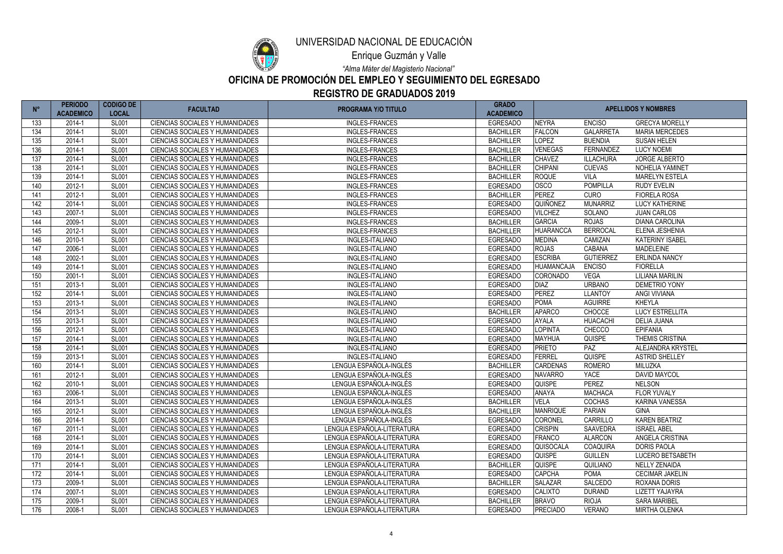

Enrique Guzmán y Valle

*"Alma Máter del Magisterio Nacional"*

#### **OFICINA DE PROMOCIÓN DEL EMPLEO Y SEGUIMIENTO DEL EGRESADO REGISTRO DE GRADUADOS 2019**

|     | <b>PERIODO</b><br><b>ACADEMICO</b> | <b>CODIGO DE</b><br><b>LOCAL</b> | <b>FACULTAD</b>                        | <b>PROGRAMA Y/O TITULO</b> | <b>GRADO</b><br><b>ACADEMICO</b> | <b>APELLIDOS Y NOMBRES</b> |                  |                        |
|-----|------------------------------------|----------------------------------|----------------------------------------|----------------------------|----------------------------------|----------------------------|------------------|------------------------|
| 133 | 2014-1                             | <b>SL001</b>                     | <b>CIENCIAS SOCIALES Y HUMANIDADES</b> | <b>INGLES-FRANCES</b>      | <b>EGRESADO</b>                  | <b>NEYRA</b>               | <b>ENCISO</b>    | <b>GRECYA MORELLY</b>  |
| 134 | 2014-1                             | <b>SL001</b>                     | CIENCIAS SOCIALES Y HUMANIDADES        | <b>INGLES-FRANCES</b>      | <b>BACHILLER</b>                 | <b>FALCON</b>              | <b>GALARRETA</b> | <b>MARIA MERCEDES</b>  |
| 135 | 2014-1                             | <b>SL001</b>                     | <b>CIENCIAS SOCIALES Y HUMANIDADES</b> | <b>INGLES-FRANCES</b>      | <b>BACHILLER</b>                 | <b>LOPEZ</b>               | <b>BUENDIA</b>   | <b>SUSAN HELEN</b>     |
| 136 | 2014-1                             | <b>SL001</b>                     | CIENCIAS SOCIALES Y HUMANIDADES        | <b>INGLES-FRANCES</b>      | <b>BACHILLER</b>                 | <b>VENEGAS</b>             | FERNANDEZ        | <b>LUCY NOEMI</b>      |
| 137 | 2014-1                             | <b>SL001</b>                     | CIENCIAS SOCIALES Y HUMANIDADES        | <b>INGLES-FRANCES</b>      | <b>BACHILLER</b>                 | <b>CHAVEZ</b>              | <b>ILLACHURA</b> | <b>JORGE ALBERTO</b>   |
| 138 | 2014-1                             | <b>SL001</b>                     | CIENCIAS SOCIALES Y HUMANIDADES        | <b>INGLES-FRANCES</b>      | <b>BACHILLER</b>                 | <b>CHIPANI</b>             | <b>CUEVAS</b>    | <b>NOHELIA YAMINET</b> |
| 139 | 2014-1                             | <b>SL001</b>                     | <b>CIENCIAS SOCIALES Y HUMANIDADES</b> | <b>INGLES-FRANCES</b>      | <b>BACHILLER</b>                 | <b>ROQUE</b>               | <b>VILA</b>      | <b>MARELYN ESTELA</b>  |
| 140 | 2012-1                             | <b>SL001</b>                     | <b>CIENCIAS SOCIALES Y HUMANIDADES</b> | <b>INGLES-FRANCES</b>      | <b>EGRESADO</b>                  | <b>OSCO</b>                | <b>POMPILLA</b>  | <b>RUDY EVELIN</b>     |
| 141 | 2012-1                             | <b>SL001</b>                     | CIENCIAS SOCIALES Y HUMANIDADES        | <b>INGLES-FRANCES</b>      | <b>BACHILLER</b>                 | <b>PEREZ</b>               | <b>CURO</b>      | <b>FIORELA ROSA</b>    |
| 142 | 2014-1                             | <b>SL001</b>                     | <b>CIENCIAS SOCIALES Y HUMANIDADES</b> | <b>INGLES-FRANCES</b>      | <b>EGRESADO</b>                  | QUIÑONEZ                   | <b>MUNARRIZ</b>  | <b>LUCY KATHERINE</b>  |
| 143 | 2007-1                             | <b>SL001</b>                     | CIENCIAS SOCIALES Y HUMANIDADES        | <b>INGLES-FRANCES</b>      | <b>EGRESADO</b>                  | <b>VILCHEZ</b>             | SOLANO           | <b>JUAN CARLOS</b>     |
| 144 | 2009-1                             | <b>SL001</b>                     | <b>CIENCIAS SOCIALES Y HUMANIDADES</b> | <b>INGLES-FRANCES</b>      | <b>BACHILLER</b>                 | <b>GARCIA</b>              | <b>ROJAS</b>     | <b>DIANA CAROLINA</b>  |
| 145 | 2012-1                             | <b>SL001</b>                     | CIENCIAS SOCIALES Y HUMANIDADES        | <b>INGLES-FRANCES</b>      | <b>BACHILLER</b>                 | <b>HUARANCCA</b>           | <b>BERROCAL</b>  | ELENA JESHENIA         |
| 146 | 2010-1                             | <b>SL001</b>                     | <b>CIENCIAS SOCIALES Y HUMANIDADES</b> | <b>INGLES-ITALIANO</b>     | <b>EGRESADO</b>                  | <b>MEDINA</b>              | CAMIZAN          | <b>KATERINY ISABEL</b> |
| 147 | 2006-1                             | <b>SL001</b>                     | CIENCIAS SOCIALES Y HUMANIDADES        | <b>INGLES-ITALIANO</b>     | <b>EGRESADO</b>                  | <b>ROJAS</b>               | CABANA           | <b>MADELEINE</b>       |
| 148 | 2002-1                             | <b>SL001</b>                     | CIENCIAS SOCIALES Y HUMANIDADES        | <b>INGLES-ITALIANO</b>     | <b>EGRESADO</b>                  | <b>ESCRIBA</b>             | <b>GUTIERREZ</b> | <b>ERLINDA NANCY</b>   |
| 149 | 2014-1                             | <b>SL001</b>                     | <b>CIENCIAS SOCIALES Y HUMANIDADES</b> | <b>INGLES-ITALIANO</b>     | <b>EGRESADO</b>                  | HUAMANCAJA                 | <b>ENCISO</b>    | <b>FIORELLA</b>        |
| 150 | 2001-1                             | <b>SL001</b>                     | CIENCIAS SOCIALES Y HUMANIDADES        | <b>INGLES-ITALIANO</b>     | <b>EGRESADO</b>                  | CORONADO                   | <b>VEGA</b>      | <b>LILIANA MARILIN</b> |
| 151 | 2013-1                             | <b>SL001</b>                     | CIENCIAS SOCIALES Y HUMANIDADES        | <b>INGLES-ITALIANO</b>     | <b>EGRESADO</b>                  | <b>DIAZ</b>                | <b>URBANO</b>    | <b>DEMETRIO YONY</b>   |
| 152 | 2014-1                             | <b>SL001</b>                     | CIENCIAS SOCIALES Y HUMANIDADES        | <b>INGLES-ITALIANO</b>     | <b>EGRESADO</b>                  | <b>PEREZ</b>               | <b>LLANTOY</b>   | <b>ANGI VIVIANA</b>    |
| 153 | 2013-1                             | <b>SL001</b>                     | <b>CIENCIAS SOCIALES Y HUMANIDADES</b> | <b>INGLES-ITALIANO</b>     | <b>EGRESADO</b>                  | <b>POMA</b>                | <b>AGUIRRE</b>   | <b>KHEYLA</b>          |
| 154 | 2013-1                             | <b>SL001</b>                     | CIENCIAS SOCIALES Y HUMANIDADES        | <b>INGLES-ITALIANO</b>     | <b>BACHILLER</b>                 | <b>APARCO</b>              | CHOCCE           | <b>LUCY ESTRELLITA</b> |
| 155 | 2013-1                             | <b>SL001</b>                     | <b>CIENCIAS SOCIALES Y HUMANIDADES</b> | <b>INGLES-ITALIANO</b>     | <b>EGRESADO</b>                  | <b>AYALA</b>               | <b>HUACACHI</b>  | <b>DELIA JUANA</b>     |
| 156 | 2012-1                             | <b>SL001</b>                     | <b>CIENCIAS SOCIALES Y HUMANIDADES</b> | <b>INGLES-ITALIANO</b>     | <b>EGRESADO</b>                  | <b>LOPINTA</b>             | <b>CHECCO</b>    | <b>EPIFANIA</b>        |
| 157 | 2014-1                             | <b>SL001</b>                     | CIENCIAS SOCIALES Y HUMANIDADES        | <b>INGLES-ITALIANO</b>     | <b>EGRESADO</b>                  | <b>MAYHUA</b>              | <b>QUISPE</b>    | <b>THEMIS CRISTINA</b> |
| 158 | 2014-1                             | <b>SL001</b>                     | CIENCIAS SOCIALES Y HUMANIDADES        | <b>INGLES-ITALIANO</b>     | <b>EGRESADO</b>                  | <b>PRIETO</b>              | PAZ              | ALEJANDRA KRYSTEL      |
| 159 | 2013-1                             | <b>SL001</b>                     | CIENCIAS SOCIALES Y HUMANIDADES        | INGLES-ITALIANO            | <b>EGRESADO</b>                  | <b>FERREL</b>              | QUISPE           | <b>ASTRID SHELLEY</b>  |
| 160 | 2014-1                             | <b>SL001</b>                     | <b>CIENCIAS SOCIALES Y HUMANIDADES</b> | LENGUA ESPAÑOLA-INGLÉS     | <b>BACHILLER</b>                 | <b>CARDENAS</b>            | <b>ROMERO</b>    | MILUZKA                |
| 161 | 2012-1                             | <b>SL001</b>                     | CIENCIAS SOCIALES Y HUMANIDADES        | LENGUA ESPAÑOLA-INGLÉS     | <b>EGRESADO</b>                  | <b>NAVARRO</b>             | YACE             | <b>DAVID MAYCOL</b>    |
| 162 | 2010-1                             | <b>SL001</b>                     | <b>CIENCIAS SOCIALES Y HUMANIDADES</b> | LENGUA ESPAÑOLA-INGLÉS     | <b>EGRESADO</b>                  | <b>QUISPE</b>              | <b>PEREZ</b>     | <b>NELSON</b>          |
| 163 | 2006-1                             | <b>SL001</b>                     | <b>CIENCIAS SOCIALES Y HUMANIDADES</b> | LENGUA ESPAÑOLA-INGLÉS     | <b>EGRESADO</b>                  | <b>ANAYA</b>               | <b>MACHACA</b>   | FLOR YUVALY            |
| 164 | 2013-1                             | <b>SL001</b>                     | CIENCIAS SOCIALES Y HUMANIDADES        | LENGUA ESPAÑOLA-INGLÉS     | <b>BACHILLER</b>                 | <b>VELA</b>                | <b>COCHAS</b>    | <b>KARINA VANESSA</b>  |
| 165 | 2012-1                             | <b>SL001</b>                     | CIENCIAS SOCIALES Y HUMANIDADES        | LENGUA ESPAÑOLA-INGLÉS     | <b>BACHILLER</b>                 | <b>MANRIQUE</b>            | <b>PARIAN</b>    | <b>GINA</b>            |
| 166 | 2014-1                             | <b>SL001</b>                     | CIENCIAS SOCIALES Y HUMANIDADES        | LENGUA ESPAÑOLA-INGLÉS     | <b>EGRESADO</b>                  | <b>CORONEL</b>             | CARRILLO         | <b>KAREN BEATRIZ</b>   |
| 167 | 2011-1                             | <b>SL001</b>                     | CIENCIAS SOCIALES Y HUMANIDADES        | LENGUA ESPAÑOLA-LITERATURA | <b>EGRESADO</b>                  | <b>CRISPIN</b>             | <b>SAAVEDRA</b>  | <b>ISRAEL ABEL</b>     |
| 168 | 2014-1                             | <b>SL001</b>                     | CIENCIAS SOCIALES Y HUMANIDADES        | LENGUA ESPAÑOLA-LITERATURA | <b>EGRESADO</b>                  | <b>FRANCO</b>              | <b>ALARCON</b>   | ANGELA CRISTINA        |
| 169 | 2014-1                             | <b>SL001</b>                     | CIENCIAS SOCIALES Y HUMANIDADES        | LENGUA ESPAÑOLA-LITERATURA | <b>EGRESADO</b>                  | <b>QUISOCALA</b>           | <b>COAQUIRA</b>  | <b>DORIS PAOLA</b>     |
| 170 | 2014-1                             | <b>SL001</b>                     | CIENCIAS SOCIALES Y HUMANIDADES        | LENGUA ESPAÑOLA-LITERATURA | <b>EGRESADO</b>                  | <b>QUISPE</b>              | <b>GUILLEN</b>   | LUCERO BETSABETH       |
| 171 | 2014-1                             | <b>SL001</b>                     | CIENCIAS SOCIALES Y HUMANIDADES        | LENGUA ESPAÑOLA-LITERATURA | <b>BACHILLER</b>                 | <b>QUISPE</b>              | QUILIANO         | <b>NELLY ZENAIDA</b>   |
| 172 | 2014-1                             | <b>SL001</b>                     | CIENCIAS SOCIALES Y HUMANIDADES        | LENGUA ESPAÑOLA-LITERATURA | <b>EGRESADO</b>                  | <b>CAPCHA</b>              | <b>POMA</b>      | <b>CECIMAR JAKELIN</b> |
| 173 | 2009-1                             | <b>SL001</b>                     | CIENCIAS SOCIALES Y HUMANIDADES        | LENGUA ESPAÑOLA-LITERATURA | <b>BACHILLER</b>                 | <b>SALAZAR</b>             | SALCEDO          | ROXANA DORIS           |
| 174 | 2007-1                             | <b>SL001</b>                     | CIENCIAS SOCIALES Y HUMANIDADES        | LENGUA ESPAÑOLA-LITERATURA | <b>EGRESADO</b>                  | <b>CALIXTO</b>             | <b>DURAND</b>    | <b>LIZETT YAJAYRA</b>  |
| 175 | 2009-1                             | <b>SL001</b>                     | CIENCIAS SOCIALES Y HUMANIDADES        | LENGUA ESPAÑOLA-LITERATURA | <b>BACHILLER</b>                 | <b>BRAVO</b>               | <b>RIOJA</b>     | <b>SARA MARIBEL</b>    |
| 176 | 2008-1                             | <b>SL001</b>                     | CIENCIAS SOCIALES Y HUMANIDADES        | LENGUA ESPAÑOLA-LITERATURA | <b>EGRESADO</b>                  | <b>PRECIADO</b>            | <b>VERANO</b>    | <b>MIRTHA OLENKA</b>   |